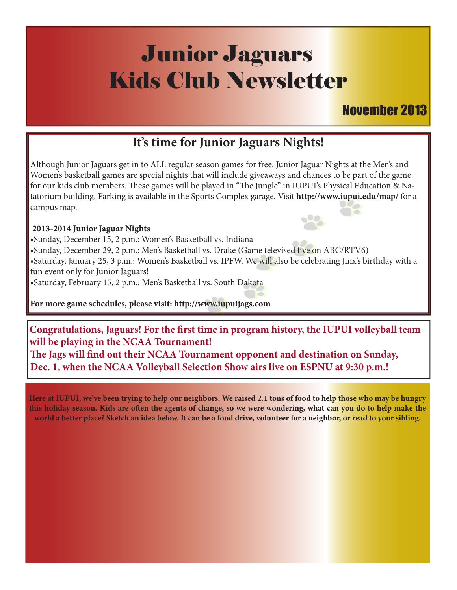# Junior Jaguars Kids Club Newsletter

### November 2013

### **It's time for Junior Jaguars Nights!**

Although Junior Jaguars get in to ALL regular season games for free, Junior Jaguar Nights at the Men's and Women's basketball games are special nights that will include giveaways and chances to be part of the game for our kids club members. These games will be played in "The Jungle" in IUPUI's Physical Education & Natatorium building. Parking is available in the Sports Complex garage. Visit **http://www.iupui.edu/map/** for a campus map.

#### **2013-2014 Junior Jaguar Nights**

•Sunday, December 15, 2 p.m.: Women's Basketball vs. Indiana Sunday, December 29, 2 p.m.: Men's Basketball vs. Drake (Game televised li<mark>ve o</mark>n ABC/RTV6) •Saturday, January 25, 3 p.m.: Women's Basketball vs. IPFW. We will also be celebrating Jinx's birthday with a fun event only for Junior Jaguars! •Saturday, February 15, 2 p.m.: Men's Basketball vs. South Dakota

**For more game schedules, please visit: http://www.iupuijags.com**

**Congratulations, Jaguars! For the first time in program history, the IUPUI volleyball team will be playing in the NCAA Tournament!**

**#e Jags will "nd out their NCAA Tournament opponent and destination on Sunday, Dec. 1, when the NCAA Volleyball Selection Show airs live on ESPNU at 9:30 p.m.!**

**Here at IUPUI, we've been trying to help our neighbors. We raised 2.1 tons of food to help those who may be hungry**  this holiday season. Kids are often the agents of change, so we were wondering, what can you do to help make the **world a better place? Sketch an idea below. It can be a food drive, volunteer for a neighbor, or read to your sibling.**